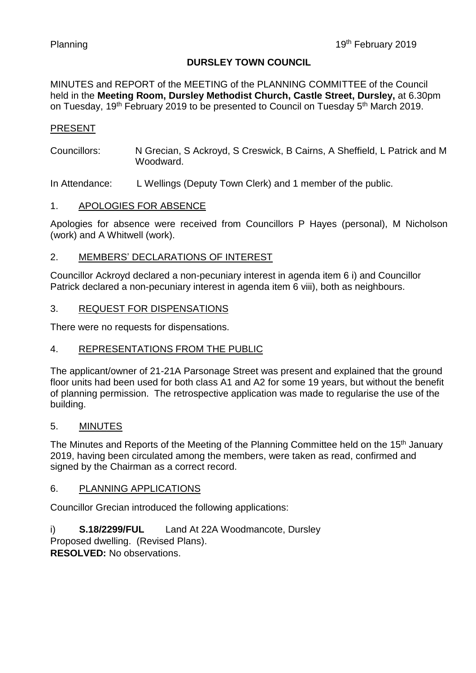#### **DURSLEY TOWN COUNCIL**

MINUTES and REPORT of the MEETING of the PLANNING COMMITTEE of the Council held in the **Meeting Room, Dursley Methodist Church, Castle Street, Dursley,** at 6.30pm on Tuesday, 19<sup>th</sup> February 2019 to be presented to Council on Tuesday 5<sup>th</sup> March 2019.

#### PRESENT

Councillors: N Grecian, S Ackroyd, S Creswick, B Cairns, A Sheffield, L Patrick and M Woodward.

In Attendance: L Wellings (Deputy Town Clerk) and 1 member of the public.

#### 1. APOLOGIES FOR ABSENCE

Apologies for absence were received from Councillors P Hayes (personal), M Nicholson (work) and A Whitwell (work).

#### 2. MEMBERS' DECLARATIONS OF INTEREST

Councillor Ackroyd declared a non-pecuniary interest in agenda item 6 i) and Councillor Patrick declared a non-pecuniary interest in agenda item 6 viii), both as neighbours.

#### 3. REQUEST FOR DISPENSATIONS

There were no requests for dispensations.

#### 4. REPRESENTATIONS FROM THE PUBLIC

The applicant/owner of 21-21A Parsonage Street was present and explained that the ground floor units had been used for both class A1 and A2 for some 19 years, but without the benefit of planning permission. The retrospective application was made to regularise the use of the building.

#### 5. MINUTES

The Minutes and Reports of the Meeting of the Planning Committee held on the 15<sup>th</sup> January 2019, having been circulated among the members, were taken as read, confirmed and signed by the Chairman as a correct record.

#### 6. PLANNING APPLICATIONS

Councillor Grecian introduced the following applications:

i) **S.18/2299/FUL** Land At 22A Woodmancote, Dursley Proposed dwelling. (Revised Plans).

**RESOLVED:** No observations.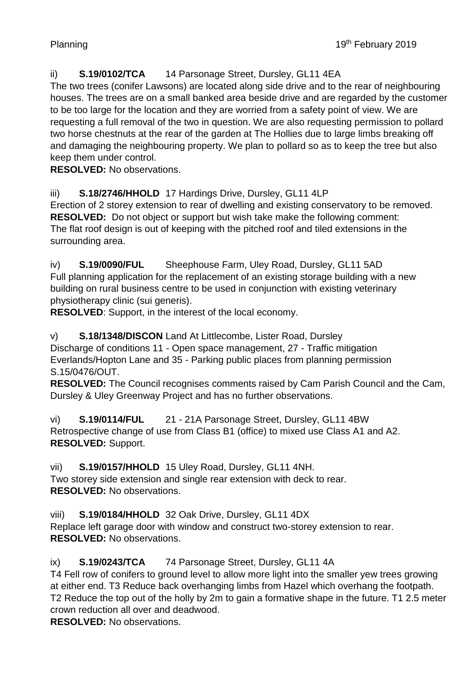# ii) **S.19/0102/TCA** 14 Parsonage Street, Dursley, GL11 4EA

The two trees (conifer Lawsons) are located along side drive and to the rear of neighbouring houses. The trees are on a small banked area beside drive and are regarded by the customer to be too large for the location and they are worried from a safety point of view. We are requesting a full removal of the two in question. We are also requesting permission to pollard two horse chestnuts at the rear of the garden at The Hollies due to large limbs breaking off and damaging the neighbouring property. We plan to pollard so as to keep the tree but also keep them under control.

**RESOLVED:** No observations.

# iii) **S.18/2746/HHOLD** 17 Hardings Drive, Dursley, GL11 4LP

Erection of 2 storey extension to rear of dwelling and existing conservatory to be removed. **RESOLVED:** Do not object or support but wish take make the following comment: The flat roof design is out of keeping with the pitched roof and tiled extensions in the surrounding area.

iv) **S.19/0090/FUL** Sheephouse Farm, Uley Road, Dursley, GL11 5AD Full planning application for the replacement of an existing storage building with a new building on rural business centre to be used in conjunction with existing veterinary physiotherapy clinic (sui generis).

**RESOLVED**: Support, in the interest of the local economy.

v) **S.18/1348/DISCON** Land At Littlecombe, Lister Road, Dursley Discharge of conditions 11 - Open space management, 27 - Traffic mitigation Everlands/Hopton Lane and 35 - Parking public places from planning permission S.15/0476/OUT.

**RESOLVED:** The Council recognises comments raised by Cam Parish Council and the Cam, Dursley & Uley Greenway Project and has no further observations.

vi) **S.19/0114/FUL** 21 - 21A Parsonage Street, Dursley, GL11 4BW Retrospective change of use from Class B1 (office) to mixed use Class A1 and A2. **RESOLVED:** Support.

vii) **S.19/0157/HHOLD** 15 Uley Road, Dursley, GL11 4NH. Two storey side extension and single rear extension with deck to rear. **RESOLVED:** No observations.

viii) **S.19/0184/HHOLD** 32 Oak Drive, Dursley, GL11 4DX Replace left garage door with window and construct two-storey extension to rear. **RESOLVED:** No observations.

ix) **S.19/0243/TCA** 74 Parsonage Street, Dursley, GL11 4A

T4 Fell row of conifers to ground level to allow more light into the smaller yew trees growing at either end. T3 Reduce back overhanging limbs from Hazel which overhang the footpath. T2 Reduce the top out of the holly by 2m to gain a formative shape in the future. T1 2.5 meter crown reduction all over and deadwood.

**RESOLVED:** No observations.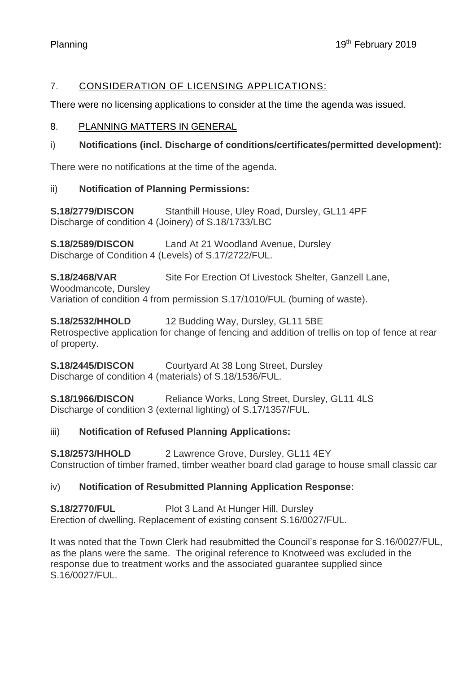# 7. CONSIDERATION OF LICENSING APPLICATIONS:

There were no licensing applications to consider at the time the agenda was issued.

### 8. PLANNING MATTERS IN GENERAL

## i) **Notifications (incl. Discharge of conditions/certificates/permitted development):**

There were no notifications at the time of the agenda.

## ii) **Notification of Planning Permissions:**

**S.18/2779/DISCON** Stanthill House, Uley Road, Dursley, GL11 4PF Discharge of condition 4 (Joinery) of S.18/1733/LBC

**S.18/2589/DISCON** Land At 21 Woodland Avenue, Dursley Discharge of Condition 4 (Levels) of S.17/2722/FUL.

**S.18/2468/VAR** Site For Erection Of Livestock Shelter, Ganzell Lane,

Woodmancote, Dursley

Variation of condition 4 from permission S.17/1010/FUL (burning of waste).

**S.18/2532/HHOLD** 12 Budding Way, Dursley, GL11 5BE Retrospective application for change of fencing and addition of trellis on top of fence at rear of property.

**S.18/2445/DISCON** Courtyard At 38 Long Street, Dursley Discharge of condition 4 (materials) of S.18/1536/FUL.

**S.18/1966/DISCON** Reliance Works, Long Street, Dursley, GL11 4LS Discharge of condition 3 (external lighting) of S.17/1357/FUL.

# iii) **Notification of Refused Planning Applications:**

**S.18/2573/HHOLD** 2 Lawrence Grove, Dursley, GL11 4EY Construction of timber framed, timber weather board clad garage to house small classic car

# iv) **Notification of Resubmitted Planning Application Response:**

# **S.18/2770/FUL** Plot 3 Land At Hunger Hill, Dursley

Erection of dwelling. Replacement of existing consent S.16/0027/FUL.

It was noted that the Town Clerk had resubmitted the Council's response for S.16/0027/FUL, as the plans were the same. The original reference to Knotweed was excluded in the response due to treatment works and the associated guarantee supplied since S.16/0027/FUL.